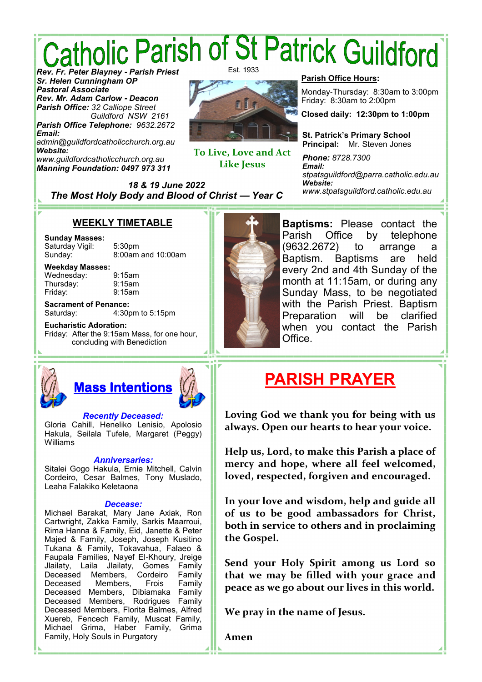# *Catholic Parish of St Patrick Guildford<br>Rev. Er. Peter Blayney - Parish Priest*

*Sr. Helen Cunningham OP Pastoral Associate Rev. Mr. Adam Carlow* **-** *Deacon Parish Office: 32 Calliope Street Guildford NSW 2161 Parish Office Telephone: 9632.2672*

*Email: admin@guildfordcatholicchurch.org.au Website: www.guildfordcatholicchurch.org.au Manning Foundation: 0497 973 311*

Est. 1933



**To Live, Love and Act Like Jesus** 

#### **Parish Office Hours:**

Monday-Thursday: 8:30am to 3:00pm Friday: 8:30am to 2:00pm

**Closed daily: 12:30pm to 1:00pm**

**St. Patrick's Primary School Principal:** Mr. Steven Jones

*Phone: 8728.7300 Email: stpatsguildford@parra.catholic.edu.au Website: www.stpatsguildford.catholic.edu.au*

*18 & 19 June 2022 The Most Holy Body and Blood of Christ* **—** *Year C*

#### **WEEKLY TIMETABLE**

#### **Sunday Masses:** Saturday Vigil: 5:30pm

Sunday: 8:00am and 10:00am

#### **Weekday Masses:** Wednesday: 9:15am

Thursday: 9:15am Friday: 9:15am

Williams

**Sacrament of Penance:** Saturday: 4:30pm to 5:15pm

**Eucharistic Adoration:** Friday: After the 9:15am Mass, for one hour, concluding with Benediction

**Mass Intentions**

*Recently Deceased:* Gloria Cahill, Heneliko Lenisio, Apolosio Hakula, Seilala Tufele, Margaret (Peggy)

*Anniversaries:* Sitalei Gogo Hakula, Ernie Mitchell, Calvin Cordeiro, Cesar Balmes, Tony Muslado,

*Decease:* Michael Barakat, Mary Jane Axiak, Ron Cartwright, Zakka Family, Sarkis Maarroui, Rima Hanna & Family, Eid, Janette & Peter Majed & Family, Joseph, Joseph Kusitino Tukana & Family, Tokavahua, Falaeo & Faupala Families, Nayef El-Khoury, Jreige Jlailaty, Laila Jlailaty, Gomes Family

Deceased Members, Frois Family Deceased Members, Dibiamaka Family Deceased Members, Rodrigues Family Deceased Members, Florita Balmes, Alfred Xuereb, Fencech Family, Muscat Family, Michael Grima, Haber Family, Grima

Deceased Members, Cordeiro

Family, Holy Souls in Purgatory

Leaha Falakiko Keletaona



**Baptisms:** Please contact the Parish Office by telephone (9632.2672) to arrange a Baptism. Baptisms are held every 2nd and 4th Sunday of the month at 11:15am, or during any Sunday Mass, to be negotiated with the Parish Priest. Baptism Preparation will be clarified when you contact the Parish Office.

# **PARISH PRAYER**

**Loving God we thank you for being with us always. Open our hearts to hear your voice.** 

**Help us, Lord, to make this Parish a place of mercy and hope, where all feel welcomed, loved, respected, forgiven and encouraged.** 

**In your love and wisdom, help and guide all of us to be good ambassadors for Christ, both in service to others and in proclaiming the Gospel.** 

**Send your Holy Spirit among us Lord so that we may be filled with your grace and peace as we go about our lives in this world.** 

**We pray in the name of Jesus.** 

**Amen**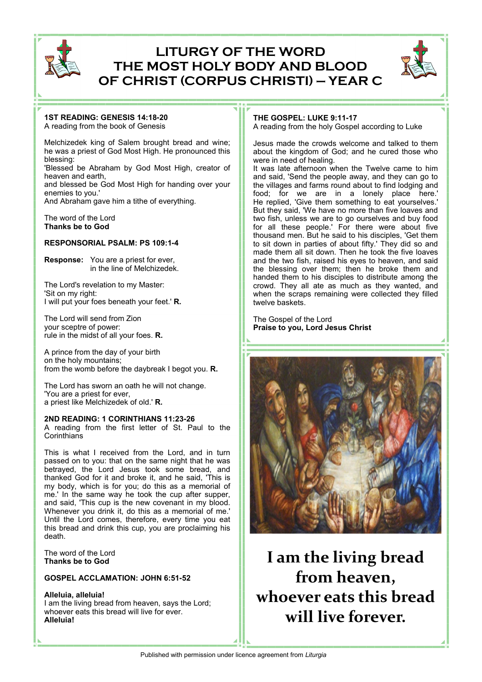

## **LITURGY OF THE WORD THE MOST HOLY BODY AND BLOOD OF CHRIST (CORPUS CHRISTI) — YEAR C**



### **1ST READING: GENESIS 14:18-20**

A reading from the book of Genesis

Melchizedek king of Salem brought bread and wine; he was a priest of God Most High. He pronounced this blessing:

'Blessed be Abraham by God Most High, creator of heaven and earth,

and blessed be God Most High for handing over your enemies to you.'

And Abraham gave him a tithe of everything.

The word of the Lord **Thanks be to God**

#### **RESPONSORIAL PSALM: PS 109:1-4**

**Response:** You are a priest for ever, in the line of Melchizedek.

The Lord's revelation to my Master: 'Sit on my right: I will put your foes beneath your feet.' **R.**

The Lord will send from Zion your sceptre of power: rule in the midst of all your foes. **R.**

A prince from the day of your birth on the holy mountains; from the womb before the daybreak I begot you. **R.**

The Lord has sworn an oath he will not change. 'You are a priest for ever, a priest like Melchizedek of old.' **R.**

#### **2ND READING: 1 CORINTHIANS 11:23-26**

A reading from the first letter of St. Paul to the **Corinthians** 

This is what I received from the Lord, and in turn passed on to you: that on the same night that he was betrayed, the Lord Jesus took some bread, and thanked God for it and broke it, and he said, 'This is my body, which is for you; do this as a memorial of me.' In the same way he took the cup after supper, and said, 'This cup is the new covenant in my blood. Whenever you drink it, do this as a memorial of me.' Until the Lord comes, therefore, every time you eat this bread and drink this cup, you are proclaiming his death.

The word of the Lord **Thanks be to God**

#### **GOSPEL ACCLAMATION: JOHN 6:51-52**

**Alleluia, alleluia!** I am the living bread from heaven, says the Lord; whoever eats this bread will live for ever. **Alleluia!**

#### **THE GOSPEL: LUKE 9:11-17**

A reading from the holy Gospel according to Luke

Jesus made the crowds welcome and talked to them about the kingdom of God; and he cured those who were in need of healing.

It was late afternoon when the Twelve came to him and said, 'Send the people away, and they can go to the villages and farms round about to find lodging and food; for we are in a lonely place here.' He replied, 'Give them something to eat yourselves.' But they said, 'We have no more than five loaves and two fish, unless we are to go ourselves and buy food for all these people.' For there were about five thousand men. But he said to his disciples, 'Get them to sit down in parties of about fifty.' They did so and made them all sit down. Then he took the five loaves and the two fish, raised his eyes to heaven, and said the blessing over them; then he broke them and handed them to his disciples to distribute among the crowd. They all ate as much as they wanted, and when the scraps remaining were collected they filled twelve baskets.

The Gospel of the Lord **Praise to you, Lord Jesus Christ**



**I am the living bread from heaven, whoever eats this bread will live forever.**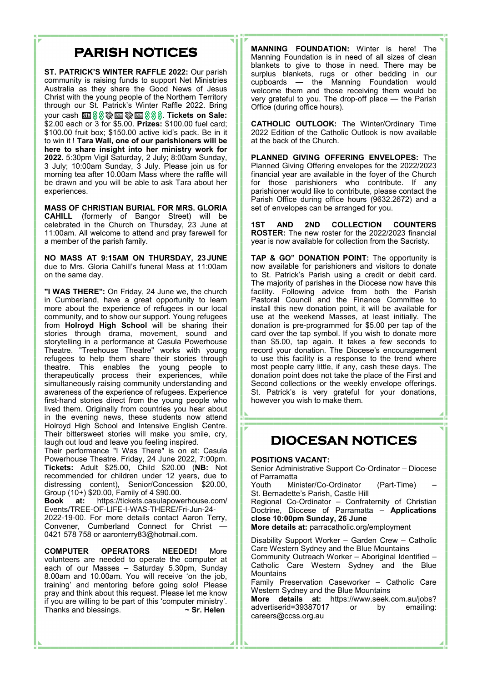## **PARISH NOTICES**

**ST. PATRICK'S WINTER RAFFLE 2022:** Our parish community is raising funds to support Net Ministries Australia as they share the Good News of Jesus Christ with the young people of the Northern Territory through our St. Patrick's Winter Raffle 2022. Bring your cash --. **Tickets on Sale:** \$2.00 each or 3 for \$5.00. **Prizes:** \$100.00 fuel card; \$100.00 fruit box; \$150.00 active kid's pack. Be in it to win it ! **Tara Wall, one of our parishioners will be here to share insight into her ministry work for 2022.** 5:30pm Vigil Saturday, 2 July; 8:00am Sunday, 3 July; 10:00am Sunday, 3 July. Please join us for morning tea after 10.00am Mass where the raffle will be drawn and you will be able to ask Tara about her experiences.

**MASS OF CHRISTIAN BURIAL FOR MRS. GLORIA CAHILL** (formerly of Bangor Street) will be celebrated in the Church on Thursday, 23 June at 11:00am. All welcome to attend and pray farewell for a member of the parish family.

**NO MASS AT 9:15AM ON THURSDAY, 23 JUNE**  due to Mrs. Gloria Cahill's funeral Mass at 11:00am on the same day.

**"I WAS THERE":** On Friday, 24 June we, the church in Cumberland, have a great opportunity to learn more about the experience of refugees in our local community, and to show our support. Young refugees from **Holroyd High School** will be sharing their stories through drama, movement, sound and storytelling in a performance at Casula Powerhouse Theatre. "Treehouse Theatre" works with young refugees to help them share their stories through theatre. This enables the young people to therapeutically process their experiences, while simultaneously raising community understanding and awareness of the experience of refugees. Experience first-hand stories direct from the young people who lived them. Originally from countries you hear about in the evening news, these students now attend Holroyd High School and Intensive English Centre. Their bittersweet stories will make you smile, cry, laugh out loud and leave you feeling inspired.

Their performance "I Was There" is on at: Casula Powerhouse Theatre. Friday, 24 June 2022, 7:00pm. **Tickets:** Adult \$25.00, Child \$20.00 (**NB:** Not recommended for children under 12 years, due to distressing content), Senior/Concession \$20.00, Group  $(10+)$  \$20.00, Family of 4 \$90.00.<br> **Book** at: https://tickets.casulapow

**Book at:** https://tickets.casulapowerhouse.com/ Events/TREE-OF-LIFE-I-WAS-THERE/Fri-Jun-24- 2022-19-00. For more details contact Aaron Terry, Convener, Cumberland Connect for Christ 0421 578 758 or aaronterry83@hotmail.com.

**COMPUTER OPERATORS NEEDED!** More volunteers are needed to operate the computer at each of our Masses – Saturday 5.30pm, Sunday 8.00am and 10.00am. You will receive 'on the job, training' and mentoring before going solo! Please pray and think about this request. Please let me know if you are willing to be part of this 'computer ministry'. Thanks and blessings. **~ Sr. Helen**

**MANNING FOUNDATION:** Winter is here! The Manning Foundation is in need of all sizes of clean blankets to give to those in need. There may be surplus blankets, rugs or other bedding in our cupboards — the Manning Foundation would welcome them and those receiving them would be very grateful to you. The drop-off place — the Parish Office (during office hours).

**CATHOLIC OUTLOOK:** The Winter/Ordinary Time 2022 Edition of the Catholic Outlook is now available at the back of the Church.

**PLANNED GIVING OFFERING ENVELOPES:** The Planned Giving Offering envelopes for the 2022/2023 financial year are available in the foyer of the Church for those parishioners who contribute. If any parishioner would like to contribute, please contact the Parish Office during office hours (9632.2672) and a set of envelopes can be arranged for you.

**1ST AND 2ND COLLECTION COUNTERS ROSTER:** The new roster for the 2022/2023 financial year is now available for collection from the Sacristy.

**TAP & GO" DONATION POINT:** The opportunity is now available for parishioners and visitors to donate to St. Patrick's Parish using a credit or debit card. The majority of parishes in the Diocese now have this facility. Following advice from both the Parish Pastoral Council and the Finance Committee to install this new donation point, it will be available for use at the weekend Masses, at least initially. The donation is pre-programmed for \$5.00 per tap of the card over the tap symbol. If you wish to donate more than \$5.00, tap again. It takes a few seconds to record your donation. The Diocese's encouragement to use this facility is a response to the trend where most people carry little, if any, cash these days. The donation point does not take the place of the First and Second collections or the weekly envelope offerings. St. Patrick's is very grateful for your donations, however you wish to make them.

## **DIOCESAN NOTICES**

#### **POSITIONS VACANT:**

Senior Administrative Support Co-Ordinator – Diocese of Parramatta<br>Youth Min

Minister/Co-Ordinator (Part-Time) St. Bernadette's Parish, Castle Hill

Regional Co-Ordinator – Confraternity of Christian Doctrine, Diocese of Parramatta – **Applications close 10:00pm Sunday, 26 June**

**More details at:** parracatholic.org/employment

Disability Support Worker – Garden Crew – Catholic Care Western Sydney and the Blue Mountains

Community Outreach Worker – Aboriginal Identified – Catholic Care Western Sydney and the Blue **Mountains** 

Family Preservation Caseworker – Catholic Care Western Sydney and the Blue Mountains

**More details at:** https://www.seek.com.au/jobs?<br>advertiserid=39387017 or by emailing: advertiserid=39387017 careers@ccss.org.au